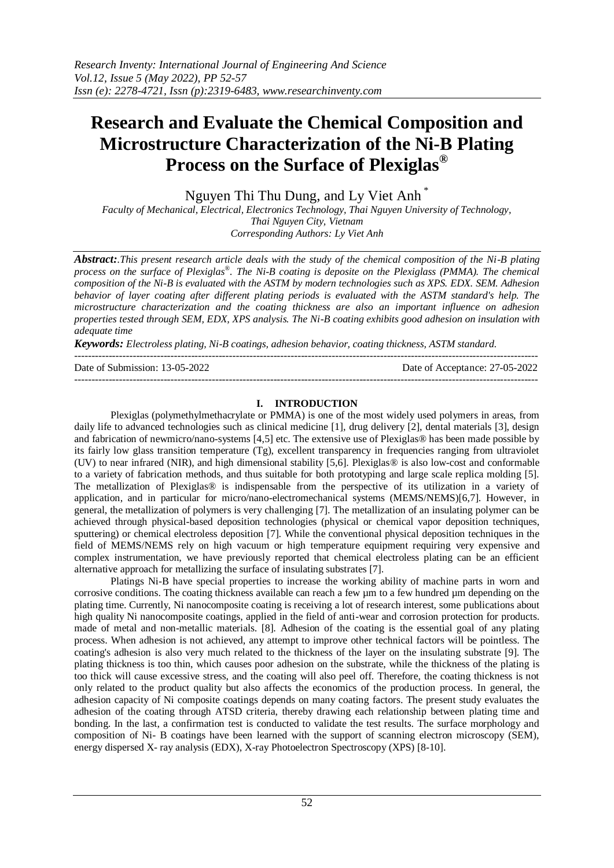# **Research and Evaluate the Chemical Composition and Microstructure Characterization of the Ni-B Plating Process on the Surface of Plexiglas®**

Nguyen Thi Thu Dung, and Ly Viet Anh \*

*Faculty of Mechanical, Electrical, Electronics Technology, Thai Nguyen University of Technology, Thai Nguyen City, Vietnam Corresponding Authors: Ly Viet Anh*

*Abstract:.This present research article deals with the study of the chemical composition of the Ni-B plating*  process on the surface of Plexiglas<sup>®</sup>. The Ni-B coating is deposite on the Plexiglass (PMMA). The chemical *composition of the Ni-B is evaluated with the ASTM by modern technologies such as XPS. EDX. SEM. Adhesion behavior of layer coating after different plating periods is evaluated with the ASTM standard's help. The microstructure characterization and the coating thickness are also an important influence on adhesion properties tested through SEM, EDX, XPS analysis. The Ni-B coating exhibits good adhesion on insulation with adequate time*

*Keywords: Electroless plating, Ni-B coatings, adhesion behavior, coating thickness, ASTM standard.*

---------------------------------------------------------------------------------------------------------------------------------------

Date of Submission: 13-05-2022 Date of Acceptance: 27-05-2022

# **I. INTRODUCTION**

---------------------------------------------------------------------------------------------------------------------------------------

Plexiglas (polymethylmethacrylate or PMMA) is one of the most widely used polymers in areas, from daily life to advanced technologies such as clinical medicine [1], drug delivery [2], dental materials [3], design and fabrication of newmicro/nano-systems [4,5] etc. The extensive use of Plexiglas® has been made possible by its fairly low glass transition temperature (Tg), excellent transparency in frequencies ranging from ultraviolet (UV) to near infrared (NIR), and high dimensional stability [5,6]. Plexiglas® is also low-cost and conformable to a variety of fabrication methods, and thus suitable for both prototyping and large scale replica molding [5]. The metallization of Plexiglas® is indispensable from the perspective of its utilization in a variety of application, and in particular for micro/nano-electromechanical systems (MEMS/NEMS)[6,7]. However, in general, the metallization of polymers is very challenging [7]. The metallization of an insulating polymer can be achieved through physical-based deposition technologies (physical or chemical vapor deposition techniques, sputtering) or chemical electroless deposition [7]. While the conventional physical deposition techniques in the field of MEMS/NEMS rely on high vacuum or high temperature equipment requiring very expensive and complex instrumentation, we have previously reported that chemical electroless plating can be an efficient alternative approach for metallizing the surface of insulating substrates [7].

Platings Ni-B have special properties to increase the working ability of machine parts in worn and corrosive conditions. The coating thickness available can reach a few um to a few hundred um depending on the plating time. Currently, Ni nanocomposite coating is receiving a lot of research interest, some publications about high quality Ni nanocomposite coatings, applied in the field of anti-wear and corrosion protection for products. made of metal and non-metallic materials. [8]. Adhesion of the coating is the essential goal of any plating process. When adhesion is not achieved, any attempt to improve other technical factors will be pointless. The coating's adhesion is also very much related to the thickness of the layer on the insulating substrate [9]. The plating thickness is too thin, which causes poor adhesion on the substrate, while the thickness of the plating is too thick will cause excessive stress, and the coating will also peel off. Therefore, the coating thickness is not only related to the product quality but also affects the economics of the production process. In general, the adhesion capacity of Ni composite coatings depends on many coating factors. The present study evaluates the adhesion of the coating through ATSD criteria, thereby drawing each relationship between plating time and bonding. In the last, a confirmation test is conducted to validate the test results. The surface morphology and composition of Ni- B coatings have been learned with the support of scanning electron microscopy (SEM), energy dispersed X- ray analysis (EDX), X-ray Photoelectron Spectroscopy (XPS) [8-10].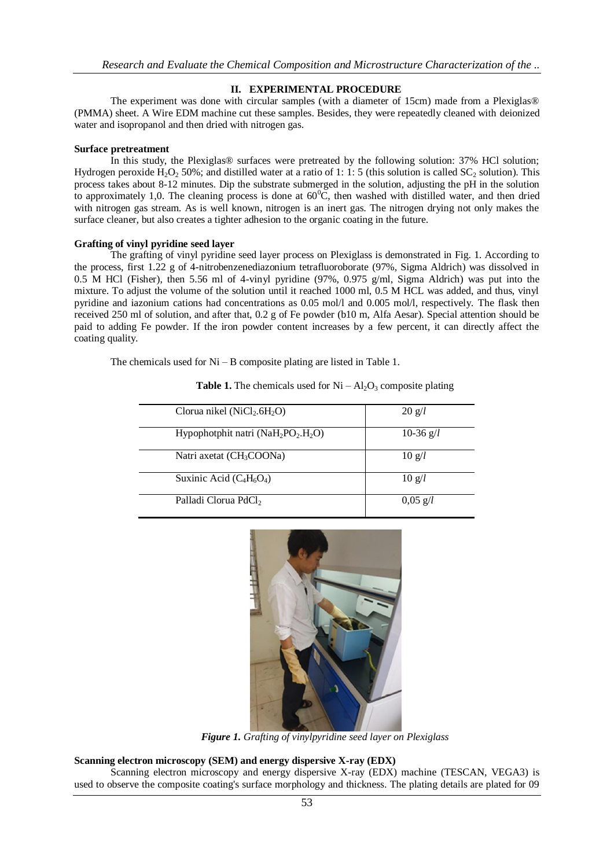# **II. EXPERIMENTAL PROCEDURE**

The experiment was done with circular samples (with a diameter of 15cm) made from a Plexiglas® (PMMA) sheet. A Wire EDM machine cut these samples. Besides, they were repeatedly cleaned with deionized water and isopropanol and then dried with nitrogen gas.

## **Surface pretreatment**

In this study, the Plexiglas® surfaces were pretreated by the following solution: 37% HCl solution; Hydrogen peroxide H<sub>2</sub>O<sub>2</sub> 50%; and distilled water at a ratio of 1: 1: 5 (this solution is called SC<sub>2</sub> solution). This process takes about 8-12 minutes. Dip the substrate submerged in the solution, adjusting the pH in the solution to approximately 1,0. The cleaning process is done at  $60^{\circ}$ C, then washed with distilled water, and then dried with nitrogen gas stream. As is well known, nitrogen is an inert gas. The nitrogen drying not only makes the surface cleaner, but also creates a tighter adhesion to the organic coating in the future.

## **Grafting of vinyl pyridine seed layer**

The grafting of vinyl pyridine seed layer process on Plexiglass is demonstrated in Fig. 1. According to the process, first 1.22 g of 4-nitrobenzenediazonium tetrafluoroborate (97%, Sigma Aldrich) was dissolved in 0.5 M HCl (Fisher), then 5.56 ml of 4-vinyl pyridine (97%, 0.975 g/ml, Sigma Aldrich) was put into the mixture. To adjust the volume of the solution until it reached 1000 ml, 0.5 M HCL was added, and thus, vinyl pyridine and iazonium cations had concentrations as 0.05 mol/l and 0.005 mol/l, respectively. The flask then received 250 ml of solution, and after that, 0.2 g of Fe powder (b10 m, Alfa Aesar). Special attention should be paid to adding Fe powder. If the iron powder content increases by a few percent, it can directly affect the coating quality.

The chemicals used for Ni – B composite plating are listed in Table 1.

| Clorua nikel ( $NiCl2.6H2O$ )           | $20 \frac{\mathrm{g}}{\mathrm{l}}$ |
|-----------------------------------------|------------------------------------|
| Hypophotphit natri ( $NaH_2PO_2.H_2O$ ) | 10-36 $g/l$                        |
| Natri axetat (CH <sub>3</sub> COONa)    | $10 \frac{\text{g}}{\text{l}}$     |
| Suxinic Acid $(C_4H_6O_4)$              | $10 \frac{\text{g}}{\text{l}}$     |
| Palladi Clorua PdCl <sub>2</sub>        | $0,05 \text{ g}/l$                 |

**Table 1.** The chemicals used for  $Ni - Al<sub>2</sub>O<sub>3</sub>$  composite plating



*Figure 1. Grafting of vinylpyridine seed layer on Plexiglass*

## **Scanning electron microscopy (SEM) and energy dispersive X-ray (EDX)**

Scanning electron microscopy and energy dispersive X-ray (EDX) machine (TESCAN, VEGA3) is used to observe the composite coating's surface morphology and thickness. The plating details are plated for 09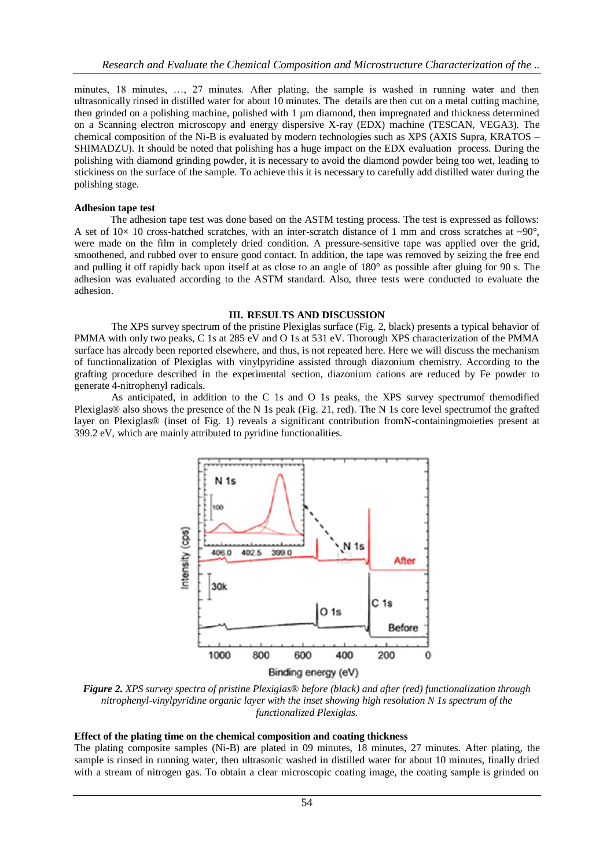minutes, 18 minutes, …, 27 minutes. After plating, the sample is washed in running water and then ultrasonically rinsed in distilled water for about 10 minutes. The details are then cut on a metal cutting machine, then grinded on a polishing machine, polished with 1 µm diamond, then impregnated and thickness determined on a Scanning electron microscopy and energy dispersive X-ray (EDX) machine (TESCAN, VEGA3). The chemical composition of the Ni-B is evaluated by modern technologies such as XPS (AXIS Supra, KRATOS – SHIMADZU). It should be noted that polishing has a huge impact on the EDX evaluation process. During the polishing with diamond grinding powder, it is necessary to avoid the diamond powder being too wet, leading to stickiness on the surface of the sample. To achieve this it is necessary to carefully add distilled water during the polishing stage.

## **Adhesion tape test**

The adhesion tape test was done based on the ASTM testing process. The test is expressed as follows: A set of  $10\times 10$  cross-hatched scratches, with an inter-scratch distance of 1 mm and cross scratches at ~90°, were made on the film in completely dried condition. A pressure-sensitive tape was applied over the grid, smoothened, and rubbed over to ensure good contact. In addition, the tape was removed by seizing the free end and pulling it off rapidly back upon itself at as close to an angle of 180° as possible after gluing for 90 s. The adhesion was evaluated according to the ASTM standard. Also, three tests were conducted to evaluate the adhesion.

## **III. RESULTS AND DISCUSSION**

The XPS survey spectrum of the pristine Plexiglas surface (Fig. 2, black) presents a typical behavior of PMMA with only two peaks, C 1s at 285 eV and O 1s at 531 eV. Thorough XPS characterization of the PMMA surface has already been reported elsewhere, and thus, is not repeated here. Here we will discuss the mechanism of functionalization of Plexiglas with vinylpyridine assisted through diazonium chemistry. According to the grafting procedure described in the experimental section, diazonium cations are reduced by Fe powder to generate 4-nitrophenyl radicals.

As anticipated, in addition to the C 1s and O 1s peaks, the XPS survey spectrumof themodified Plexiglas® also shows the presence of the N 1s peak (Fig. 21, red). The N 1s core level spectrumof the grafted layer on Plexiglas® (inset of Fig. 1) reveals a significant contribution fromN-containingmoieties present at 399.2 eV, which are mainly attributed to pyridine functionalities.



*Figure 2. XPS survey spectra of pristine Plexiglas® before (black) and after (red) functionalization through nitrophenyl-vinylpyridine organic layer with the inset showing high resolution N 1s spectrum of the functionalized Plexiglas.*

#### **Effect of the plating time on the chemical composition and coating thickness**

The plating composite samples (Ni-B) are plated in 09 minutes, 18 minutes, 27 minutes. After plating, the sample is rinsed in running water, then ultrasonic washed in distilled water for about 10 minutes, finally dried with a stream of nitrogen gas. To obtain a clear microscopic coating image, the coating sample is grinded on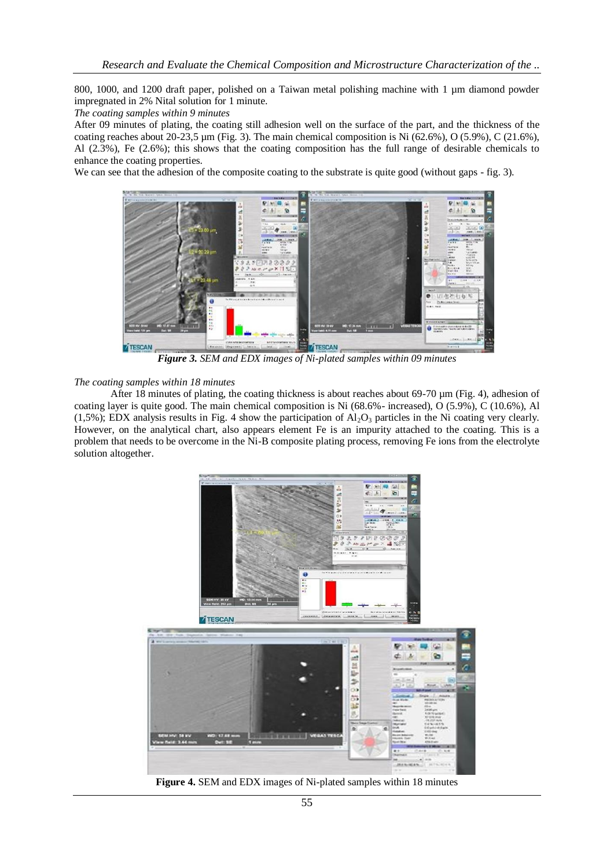800, 1000, and 1200 draft paper, polished on a Taiwan metal polishing machine with 1 µm diamond powder impregnated in 2% Nital solution for 1 minute.

*The coating samples within 9 minutes*

After 09 minutes of plating, the coating still adhesion well on the surface of the part, and the thickness of the coating reaches about 20-23,5  $\mu$ m (Fig. 3). The main chemical composition is Ni (62.6%), O (5.9%), C (21.6%), Al (2.3%), Fe (2.6%); this shows that the coating composition has the full range of desirable chemicals to enhance the coating properties.

We can see that the adhesion of the composite coating to the substrate is quite good (without gaps - fig. 3).



*Figure 3. SEM and EDX images of Ni-plated samples within 09 minutes*

## *The coating samples within 18 minutes*

After 18 minutes of plating, the coating thickness is about reaches about 69-70 µm (Fig. 4), adhesion of coating layer is quite good. The main chemical composition is Ni (68.6%- increased), O (5.9%), C (10.6%), Al (1,5%); EDX analysis results in Fig. 4 show the participation of  $Al_2O_3$  particles in the Ni coating very clearly. However, on the analytical chart, also appears element Fe is an impurity attached to the coating. This is a problem that needs to be overcome in the Ni-B composite plating process, removing Fe ions from the electrolyte solution altogether.



**Figure 4.** SEM and EDX images of Ni-plated samples within 18 minutes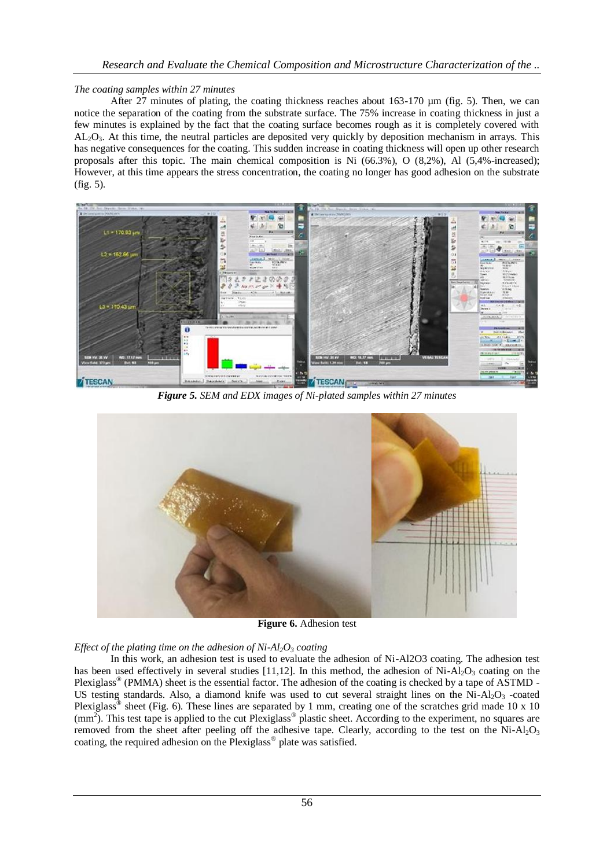# *The coating samples within 27 minutes*

After 27 minutes of plating, the coating thickness reaches about  $163-170$  um (fig. 5). Then, we can notice the separation of the coating from the substrate surface. The 75% increase in coating thickness in just a few minutes is explained by the fact that the coating surface becomes rough as it is completely covered with AL2O3. At this time, the neutral particles are deposited very quickly by deposition mechanism in arrays. This has negative consequences for the coating. This sudden increase in coating thickness will open up other research proposals after this topic. The main chemical composition is Ni (66.3%), O (8,2%), Al (5,4%-increased); However, at this time appears the stress concentration, the coating no longer has good adhesion on the substrate (fig. 5).



*Figure 5. SEM and EDX images of Ni-plated samples within 27 minutes*



**Figure 6.** Adhesion test

## *Effect of the plating time on the adhesion of Ni-Al2O<sup>3</sup> coating*

In this work, an adhesion test is used to evaluate the adhesion of Ni-Al2O3 coating. The adhesion test has been used effectively in several studies [11,12]. In this method, the adhesion of  $Ni-Al<sub>2</sub>O<sub>3</sub>$  coating on the Plexiglass® (PMMA) sheet is the essential factor. The adhesion of the coating is checked by a tape of ASTMD -US testing standards. Also, a diamond knife was used to cut several straight lines on the Ni-Al<sub>2</sub>O<sub>3</sub> -coated Plexiglass<sup>®</sup> sheet (Fig. 6). These lines are separated by 1 mm, creating one of the scratches grid made 10 x 10 (mm<sup>2</sup>). This test tape is applied to the cut Plexiglass<sup>®</sup> plastic sheet. According to the experiment, no squares are removed from the sheet after peeling off the adhesive tape. Clearly, according to the test on the Ni-Al<sub>2</sub>O<sub>3</sub> coating, the required adhesion on the Plexiglass® plate was satisfied.